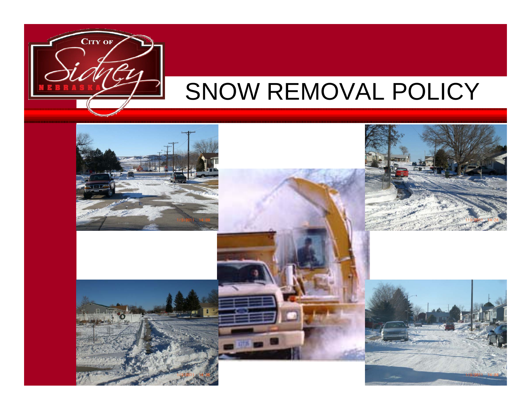

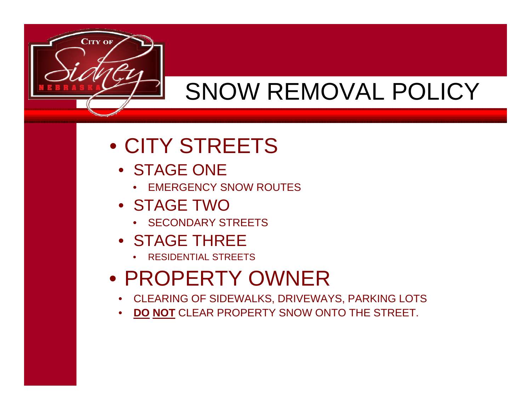

#### • CITY STREETS

- STAGE ONE
	- •EMERGENCY SNOW ROUTES
- STAGE TWO
	- •SECONDARY STREETS
- STAGE THREE
	- •RESIDENTIAL STREETS

#### • PROPERTY OWNER

- CLEARING OF SIDEWALKS, DRIVEWAYS, PARKING LOTS
- **DO NOT** CLEAR PROPERTY SNOW ONTO THE STREET.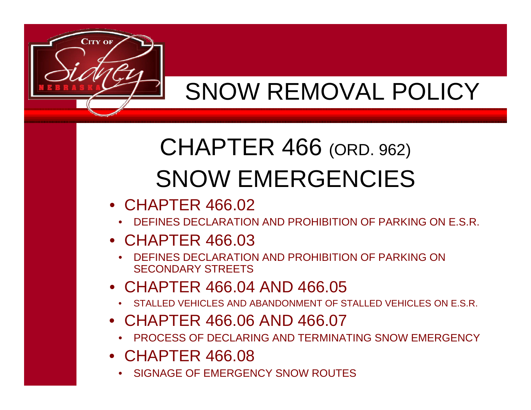

## CHAPTER 466 (ORD. 962) SNOW EMERGENCIES

- CHAPTER 466.02
	- •DEFINES DECLARATION AND PROHIBITION OF PARKING ON E.S.R.
- CHAPTER 466.03
	- • DEFINES DECLARATION AND PROHIBITION OF PARKING ON SECONDARY STREETS
- CHAPTER 466.04 AND 466.05
	- •STALLED VEHICLES AND ABANDONMENT OF STALLED VEHICLES ON E.S.R.
- CHAPTER 466.06 AND 466.07
	- PROCESS OF DECLARING AND TERMINATING SNOW EMERGENCY
- CHAPTER 466.08
	- •SIGNAGE OF EMERGENCY SNOW ROUTES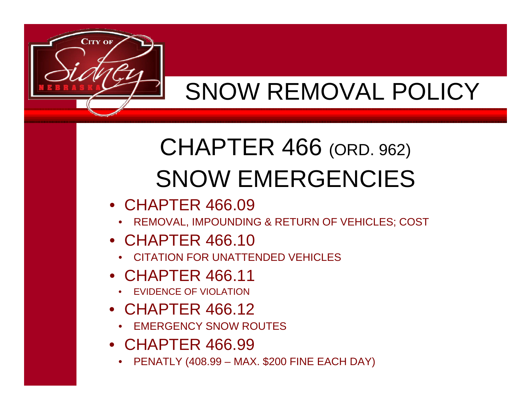

## CHAPTER 466 (ORD. 962) SNOW EMERGENCIES

- CHAPTER 466.09
	- REMOVAL, IMPOUNDING & RETURN OF VEHICLES; COST
- CHAPTER 466.10
	- CITATION FOR UNATTENDED VEHICLES
- CHAPTER 466.11
	- •EVIDENCE OF VIOLATION
- CHAPTER 466.12
	- •EMERGENCY SNOW ROUTES
- CHAPTER 466.99
	- PENATLY (408.99 MAX. \$200 FINE EACH DAY)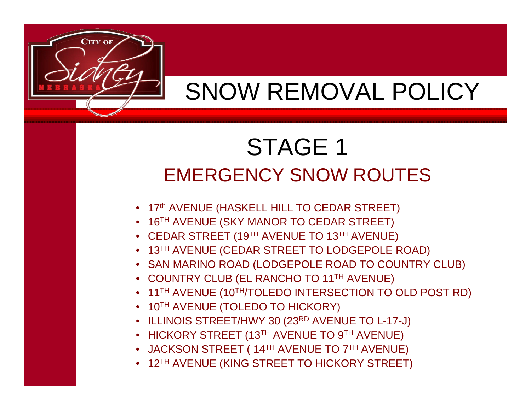

### STAGE 1 EMERGENCY SNOW ROUTES

• SAN MARINO ROAD (LODGEPOLE ROAD TO COUNTRY CLUB)

• 11TH AVENUE (10TH/TOLEDO INTERSECTION TO OLD POST RD)

- 17th AVENUE (HASKELL HILL TO CEDAR STREET)
- 16TH AVENUE (SKY MANOR TO CEDAR STREET)
- 

• COUNTRY CLUB (EL RANCHO TO 11TH AVENUE)

• 10TH AVENUE (TOLEDO TO HICKORY)

- 
- 
- 
- 13TH AVENUE (CEDAR STREET TO LODGEPOLE ROAD)
- 
- 

 $\bullet$   $\,$  ILLINOIS STREET/HWY 30 (23 $^{\sf RD}$  AVENUE TO L-17-J)

• HICKORY STREET (13TH AVENUE TO 9TH AVENUE)

• JACKSON STREET ( 14TH AVENUE TO 7TH AVENUE)

• 12TH AVENUE (KING STREET TO HICKORY STREET)

- 
- 
- 
- CEDAR STREET (19TH AVENUE TO 13TH AVENUE)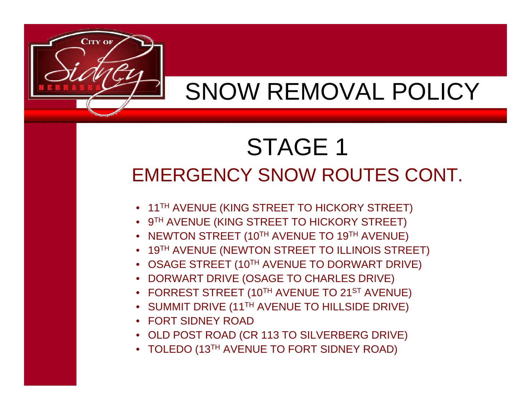

### STAGE 1 EMERGENCY SNOW ROUTES CONT.

• 11TH AVENUE (KING STREET TO HICKORY STREET)

• 9TH AVENUE (KING STREET TO HICKORY STREET)

• NEWTON STREET (10TH AVENUE TO 19TH AVENUE)

• DORWART DRIVE (OSAGE TO CHARLES DRIVE)

• FORT SIDNEY ROAD

• 19TH AVENUE (NEWTON STREET TO ILLINOIS STREET)

• OSAGE STREET (10TH AVENUE TO DORWART DRIVE)

 $\bullet~$  FORREST STREET (10 $^{\text{\tiny\textsf{TH}}}$  AVENUE TO 21 $^{\text{\tiny\textsf{ST}}}$  AVENUE)

 $\bullet~$  SUMMIT DRIVE (11 $^{\sf TH}$  AVENUE TO HILLSIDE DRIVE)

• OLD POST ROAD (CR 113 TO SILVERBERG DRIVE)

• TOLEDO (13TH AVENUE TO FORT SIDNEY ROAD)

- 
- 
- 

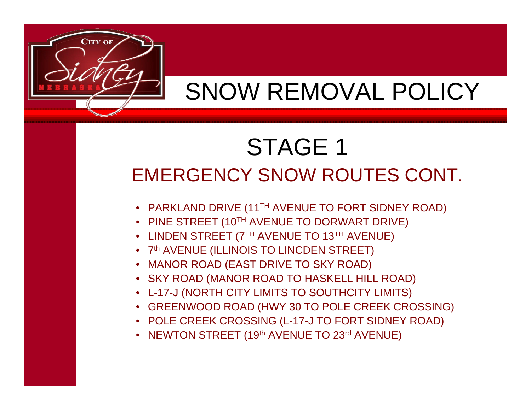

### STAGE 1 EMERGENCY SNOW ROUTES CONT.

- PARKLAND DRIVE (11TH AVENUE TO FORT SIDNEY ROAD)
- PINE STREET (10TH AVENUE TO DORWART DRIVE)
- LINDEN STREET (7TH AVENUE TO 13TH AVENUE)
- 7th AVENUE (ILLINOIS TO LINCDEN STREET)
- MANOR ROAD (EAST DRIVE TO SKY ROAD)
- SKY ROAD (MANOR ROAD TO HASKELL HILL ROAD)
- L-17-J (NORTH CITY LIMITS TO SOUTHCITY LIMITS)
- GREENWOOD ROAD (HWY 30 TO POLE CREEK CROSSING)
- POLE CREEK CROSSING (L-17-J TO FORT SIDNEY ROAD)
- NEWTON STREET (19th AVENUE TO 23rd AVENUE)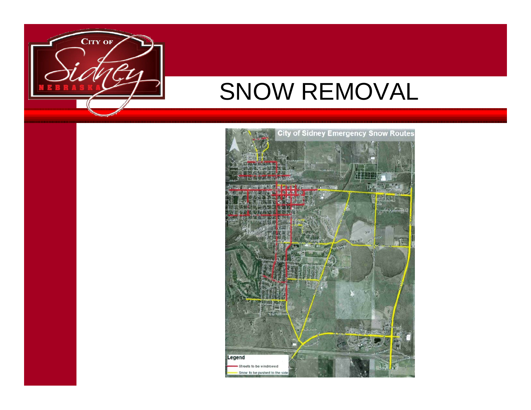

### SNOW REMOVAL

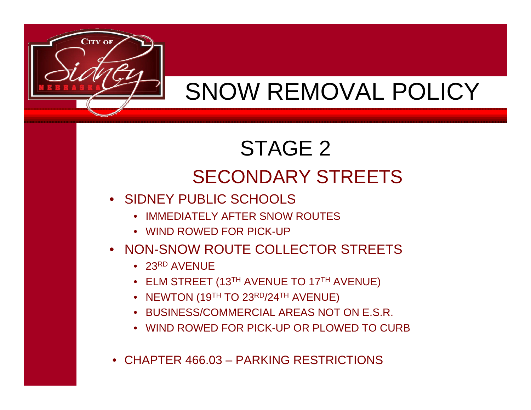- CHAPTER 466.03 PARKING RESTRICTIONS
- WIND ROWED FOR PICK-UP OR PLOWED TO CURB
- BUSINESS/COMMERCIAL AREAS NOT ON E.S.R.
- $\bullet~$  NEWTON (19 $^{\textsf{TH}}$  TO 23 $^{\textsf{RD}}$ /24 $^{\textsf{TH}}$  AVENUE)
- ELM STREET (13TH AVENUE TO 17TH AVENUE)
- $\bullet~$  23<sup>RD</sup> AVENUE
- NON-SNOW ROUTE COLLECTOR STREETS
- WIND ROWED FOR PICK-UP
- IMMEDIATELY AFTER SNOW ROUTES
- SIDNEY PUBLIC SCHOOLS

#### STAGE 2 SECONDARY STREETS



## SNOW REMOVAL POLICY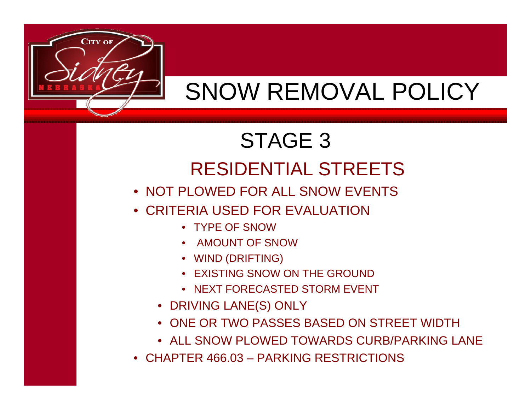

#### STAGE 3 RESIDENTIAL STREETS

- NOT PLOWED FOR ALL SNOW EVENTS
- CRITERIA USED FOR EVALUATION
	- TYPE OF SNOW
	- AMOUNT OF SNOW
	- WIND (DRIFTING)
	- EXISTING SNOW ON THE GROUND
	- NEXT FORECASTED STORM EVENT
	- DRIVING LANE(S) ONLY
	- ONE OR TWO PASSES BASED ON STREET WIDTH
	- ALL SNOW PLOWED TOWARDS CURB/PARKING LANE
- CHAPTER 466.03 PARKING RESTRICTIONS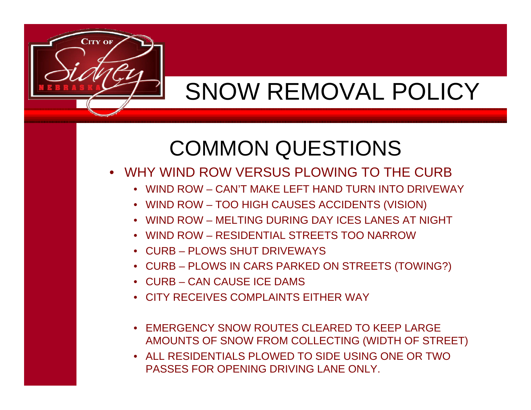

- WHY WIND ROW VERSUS PLOWING TO THE CURB
	- WIND ROW CAN'T MAKE LEFT HAND TURN INTO DRIVEWAY
	- WIND ROW TOO HIGH CAUSES ACCIDENTS (VISION)
	- WIND ROW MELTING DURING DAY ICES LANES AT NIGHT
	- WIND ROW RESIDENTIAL STREETS TOO NARROW
	- CURB PLOWS SHUT DRIVEWAYS
	- CURB PLOWS IN CARS PARKED ON STREETS (TOWING?)
	- CURB CAN CAUSE ICE DAMS
	- CITY RECEIVES COMPLAINTS EITHER WAY
	- EMERGENCY SNOW ROUTES CLEARED TO KEEP LARGE AMOUNTS OF SNOW FROM COLLECTING (WIDTH OF STREET)
	- ALL RESIDENTIALS PLOWED TO SIDE USING ONE OR TWO PASSES FOR OPENING DRIVING LANE ONLY.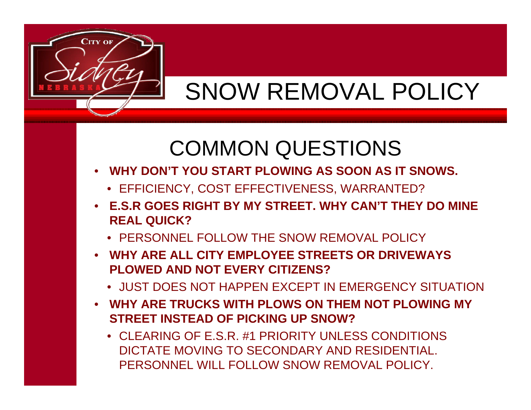

- • **WHY DON'T YOU START PLOWING AS SOON AS IT SNOWS.**
	- EFFICIENCY, COST EFFECTIVENESS, WARRANTED?
- **E.S.R GOES RIGHT BY MY STREET. WHY CAN'T THEY DO MINE REAL QUICK?**
	- PERSONNEL FOLLOW THE SNOW REMOVAL POLICY
- **WHY ARE ALL CITY EMPLOYEE STREETS OR DRIVEWAYS PLOWED AND NOT EVERY CITIZENS?**
	- JUST DOES NOT HAPPEN EXCEPT IN EMERGENCY SITUATION
- **WHY ARE TRUCKS WITH PLOWS ON THEM NOT PLOWING MY STREET INSTEAD OF PICKING UP SNOW?**
	- CLEARING OF E.S.R. #1 PRIORITY UNLESS CONDITIONS DICTATE MOVING TO SECONDARY AND RESIDENTIAL. PERSONNEL WILL FOLLOW SNOW REMOVAL POLICY.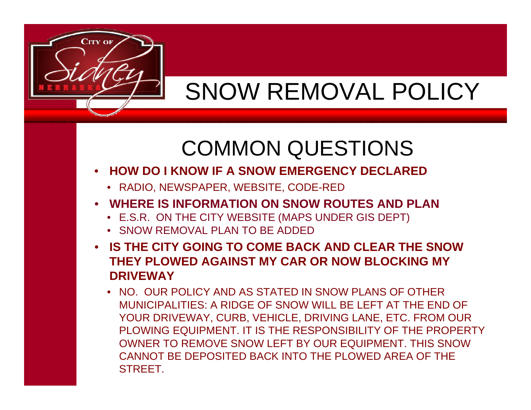

- $\bullet$  **HOW DO I KNOW IF A SNOW EMERGENCY DECLARED**
	- RADIO, NEWSPAPER, WEBSITE, CODE-RED
- • **WHERE IS INFORMATION ON SNOW ROUTES AND PLAN**
	- E.S.R. ON THE CITY WEBSITE (MAPS UNDER GIS DEPT)
	- SNOW REMOVAL PLAN TO BE ADDED
- **IS THE CITY GOING TO COME BACK AND CLEAR THE SNOW THEY PLOWED AGAINST MY CAR OR NOW BLOCKING MY DRIVEWAY**
	- NO. OUR POLICY AND AS STATED IN SNOW PLANS OF OTHER MUNICIPALITIES: A RIDGE OF SNOW WILL BE LEFT AT THE END OF YOUR DRIVEWAY, CURB, VEHICLE, DRIVING LANE, ETC. FROM OUR PLOWING EQUIPMENT. IT IS THE RESPONSIBILITY OF THE PROPERTY OWNER TO REMOVE SNOW LEFT BY OUR EQUIPMENT. THIS SNOW CANNOT BE DEPOSITED BACK INTO THE PLOWED AREA OF THE STREET.